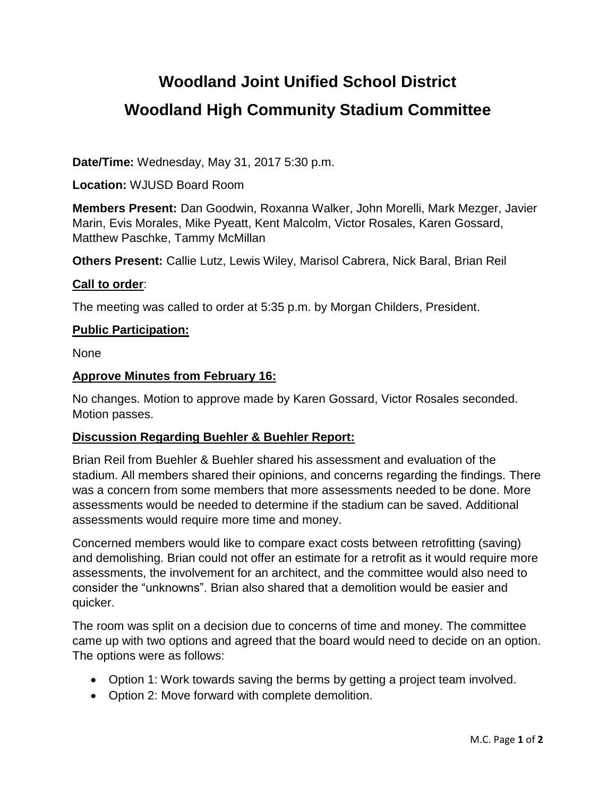# **Woodland Joint Unified School District Woodland High Community Stadium Committee**

**Date/Time:** Wednesday, May 31, 2017 5:30 p.m.

**Location:** WJUSD Board Room

**Members Present:** Dan Goodwin, Roxanna Walker, John Morelli, Mark Mezger, Javier Marin, Evis Morales, Mike Pyeatt, Kent Malcolm, Victor Rosales, Karen Gossard, Matthew Paschke, Tammy McMillan

**Others Present:** Callie Lutz, Lewis Wiley, Marisol Cabrera, Nick Baral, Brian Reil

### **Call to order**:

The meeting was called to order at 5:35 p.m. by Morgan Childers, President.

### **Public Participation:**

None

### **Approve Minutes from February 16:**

No changes. Motion to approve made by Karen Gossard, Victor Rosales seconded. Motion passes.

### **Discussion Regarding Buehler & Buehler Report:**

Brian Reil from Buehler & Buehler shared his assessment and evaluation of the stadium. All members shared their opinions, and concerns regarding the findings. There was a concern from some members that more assessments needed to be done. More assessments would be needed to determine if the stadium can be saved. Additional assessments would require more time and money.

Concerned members would like to compare exact costs between retrofitting (saving) and demolishing. Brian could not offer an estimate for a retrofit as it would require more assessments, the involvement for an architect, and the committee would also need to consider the "unknowns". Brian also shared that a demolition would be easier and quicker.

The room was split on a decision due to concerns of time and money. The committee came up with two options and agreed that the board would need to decide on an option. The options were as follows:

- Option 1: Work towards saving the berms by getting a project team involved.
- Option 2: Move forward with complete demolition.